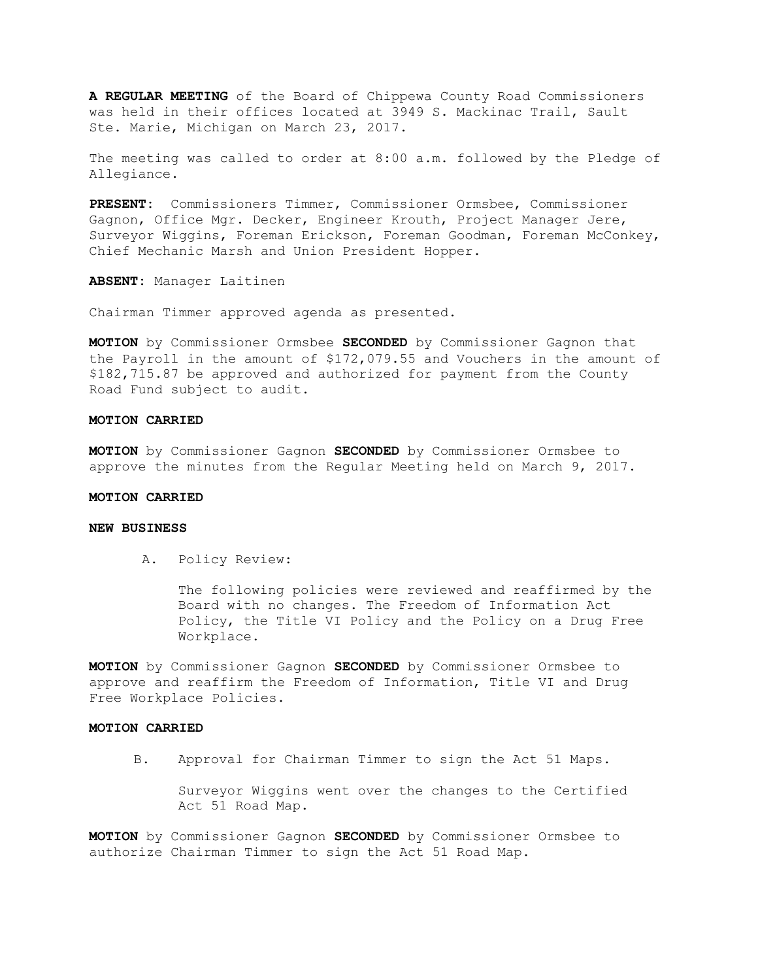**A REGULAR MEETING** of the Board of Chippewa County Road Commissioners was held in their offices located at 3949 S. Mackinac Trail, Sault Ste. Marie, Michigan on March 23, 2017.

The meeting was called to order at 8:00 a.m. followed by the Pledge of Allegiance.

**PRESENT:** Commissioners Timmer, Commissioner Ormsbee, Commissioner Gagnon, Office Mgr. Decker, Engineer Krouth, Project Manager Jere, Surveyor Wiggins, Foreman Erickson, Foreman Goodman, Foreman McConkey, Chief Mechanic Marsh and Union President Hopper.

**ABSENT:** Manager Laitinen

Chairman Timmer approved agenda as presented.

**MOTION** by Commissioner Ormsbee **SECONDED** by Commissioner Gagnon that the Payroll in the amount of \$172,079.55 and Vouchers in the amount of \$182,715.87 be approved and authorized for payment from the County Road Fund subject to audit.

#### **MOTION CARRIED**

**MOTION** by Commissioner Gagnon **SECONDED** by Commissioner Ormsbee to approve the minutes from the Regular Meeting held on March 9, 2017.

# **MOTION CARRIED**

# **NEW BUSINESS**

A. Policy Review:

The following policies were reviewed and reaffirmed by the Board with no changes. The Freedom of Information Act Policy, the Title VI Policy and the Policy on a Drug Free Workplace.

**MOTION** by Commissioner Gagnon **SECONDED** by Commissioner Ormsbee to approve and reaffirm the Freedom of Information, Title VI and Drug Free Workplace Policies.

#### **MOTION CARRIED**

B. Approval for Chairman Timmer to sign the Act 51 Maps.

 Surveyor Wiggins went over the changes to the Certified Act 51 Road Map.

**MOTION** by Commissioner Gagnon **SECONDED** by Commissioner Ormsbee to authorize Chairman Timmer to sign the Act 51 Road Map.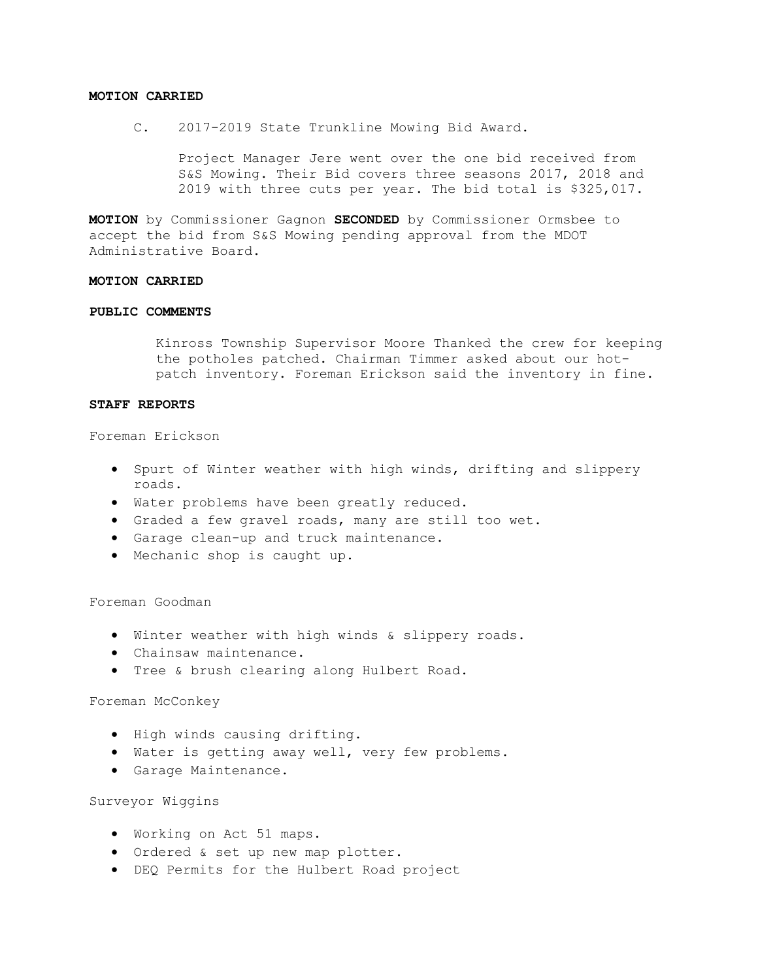#### **MOTION CARRIED**

C. 2017-2019 State Trunkline Mowing Bid Award.

 Project Manager Jere went over the one bid received from S&S Mowing. Their Bid covers three seasons 2017, 2018 and 2019 with three cuts per year. The bid total is \$325,017.

**MOTION** by Commissioner Gagnon **SECONDED** by Commissioner Ormsbee to accept the bid from S&S Mowing pending approval from the MDOT Administrative Board.

### **MOTION CARRIED**

### **PUBLIC COMMENTS**

Kinross Township Supervisor Moore Thanked the crew for keeping the potholes patched. Chairman Timmer asked about our hotpatch inventory. Foreman Erickson said the inventory in fine.

#### **STAFF REPORTS**

Foreman Erickson

- Spurt of Winter weather with high winds, drifting and slippery roads.
- Water problems have been greatly reduced.
- Graded a few gravel roads, many are still too wet.
- Garage clean-up and truck maintenance.
- Mechanic shop is caught up.

Foreman Goodman

- Winter weather with high winds & slippery roads.
- Chainsaw maintenance.
- Tree & brush clearing along Hulbert Road.

#### Foreman McConkey

- High winds causing drifting.
- Water is getting away well, very few problems.
- Garage Maintenance.

### Surveyor Wiggins

- Working on Act 51 maps.
- Ordered & set up new map plotter.
- DEQ Permits for the Hulbert Road project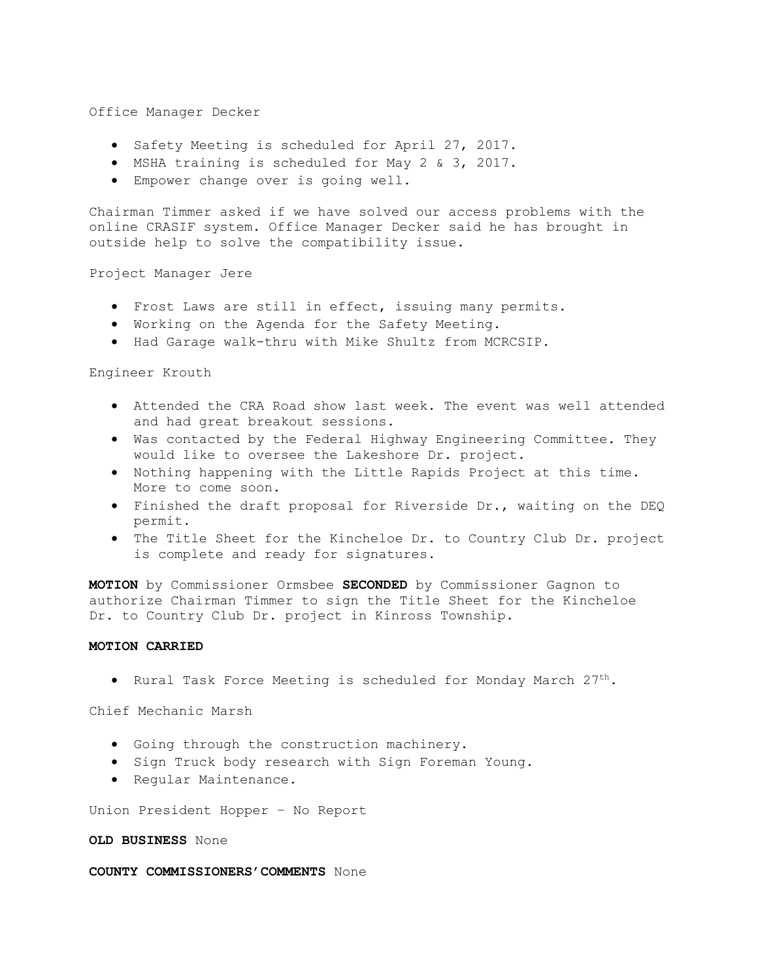#### Office Manager Decker

- Safety Meeting is scheduled for April 27, 2017.
- MSHA training is scheduled for May 2 & 3, 2017.
- Empower change over is going well.

Chairman Timmer asked if we have solved our access problems with the online CRASIF system. Office Manager Decker said he has brought in outside help to solve the compatibility issue.

Project Manager Jere

- Frost Laws are still in effect, issuing many permits.
- Working on the Agenda for the Safety Meeting.
- Had Garage walk-thru with Mike Shultz from MCRCSIP.

#### Engineer Krouth

- Attended the CRA Road show last week. The event was well attended and had great breakout sessions.
- Was contacted by the Federal Highway Engineering Committee. They would like to oversee the Lakeshore Dr. project.
- Nothing happening with the Little Rapids Project at this time. More to come soon.
- Finished the draft proposal for Riverside Dr., waiting on the DEQ permit.
- The Title Sheet for the Kincheloe Dr. to Country Club Dr. project is complete and ready for signatures.

**MOTION** by Commissioner Ormsbee **SECONDED** by Commissioner Gagnon to authorize Chairman Timmer to sign the Title Sheet for the Kincheloe Dr. to Country Club Dr. project in Kinross Township.

### **MOTION CARRIED**

• Rural Task Force Meeting is scheduled for Monday March 27th.

Chief Mechanic Marsh

- Going through the construction machinery.
- Sign Truck body research with Sign Foreman Young.
- Regular Maintenance.

Union President Hopper – No Report

## **OLD BUSINESS** None

#### **COUNTY COMMISSIONERS'COMMENTS** None